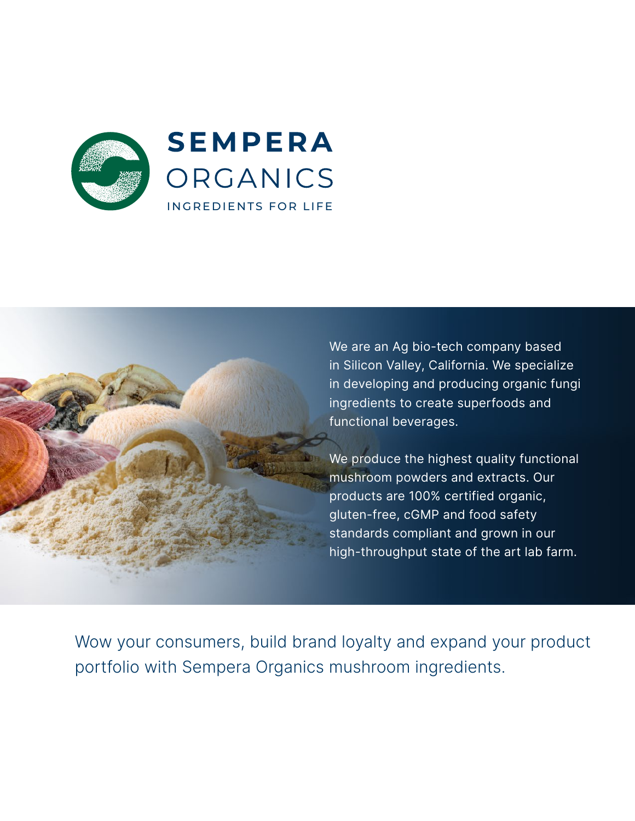



We are an Ag bio-tech company based in Silicon Valley, California. We specialize in developing and producing organic fungi ingredients to create superfoods and functional beverages.

We produce the highest quality functional mushroom powders and extracts. Our products are 100% certified organic, gluten-free, cGMP and food safety standards compliant and grown in our high-throughput state of the art lab farm.

Wow your consumers, build brand loyalty and expand your product portfolio with Sempera Organics mushroom ingredients.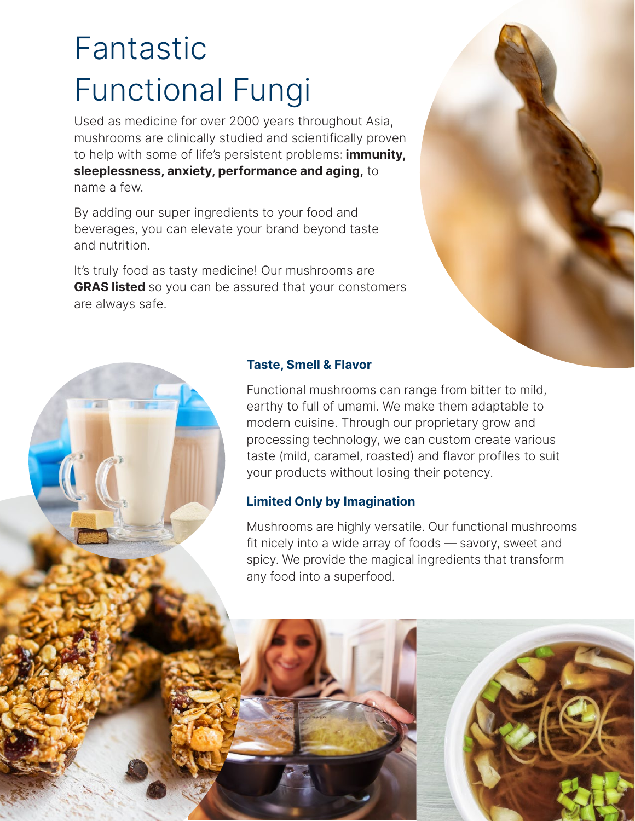# Fantastic Functional Fungi

Used as medicine for over 2000 years throughout Asia, mushrooms are clinically studied and scientifically proven to help with some of life's persistent problems: **immunity, sleeplessness, anxiety, performance and aging,** to name a few.

By adding our super ingredients to your food and beverages, you can elevate your brand beyond taste and nutrition.

It's truly food as tasty medicine! Our mushrooms are **GRAS listed** so you can be assured that your constomers are always safe.



## **Taste, Smell & Flavor**

Functional mushrooms can range from bitter to mild, earthy to full of umami. We make them adaptable to modern cuisine. Through our proprietary grow and processing technology, we can custom create various taste (mild, caramel, roasted) and flavor profiles to suit your products without losing their potency.

## **Limited Only by Imagination**

Mushrooms are highly versatile. Our functional mushrooms fit nicely into a wide array of foods — savory, sweet and spicy. We provide the magical ingredients that transform any food into a superfood.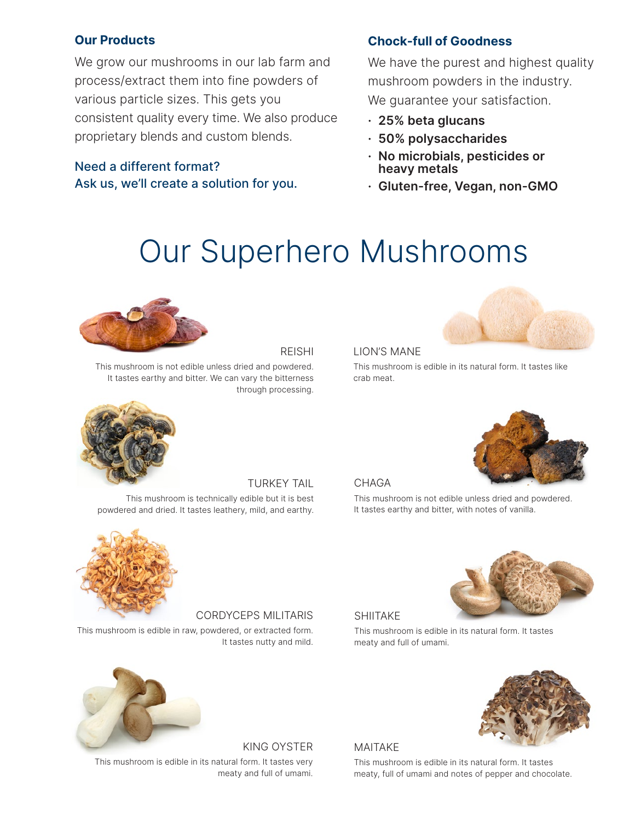#### **Our Products**

We grow our mushrooms in our lab farm and process/extract them into fine powders of various particle sizes. This gets you consistent quality every time. We also produce proprietary blends and custom blends.

## Need a different format? Ask us, we'll create a solution for you.

## **Chock-full of Goodness**

We have the purest and highest quality mushroom powders in the industry. We guarantee your satisfaction.

- **· 25% beta glucans**
- **· 50% polysaccharides**
- **· No microbials, pesticides or heavy metals**
- **· Gluten-free, Vegan, non-GMO**

## Our Superhero Mushrooms



#### REISHI

This mushroom is not edible unless dried and powdered. It tastes earthy and bitter. We can vary the bitterness through processing.



#### LION'S MANE

This mushroom is edible in its natural form. It tastes like crab meat.



TURKEY TAIL This mushroom is technically edible but it is best powdered and dried. It tastes leathery, mild, and earthy.



#### CHAGA

This mushroom is not edible unless dried and powdered. It tastes earthy and bitter, with notes of vanilla.



CORDYCEPS MILITARIS

This mushroom is edible in raw, powdered, or extracted form. It tastes nutty and mild.



SHIITAKE

This mushroom is edible in its natural form. It tastes meaty and full of umami.



KING OYSTER

This mushroom is edible in its natural form. It tastes very meaty and full of umami.

#### MAITAKE

This mushroom is edible in its natural form. It tastes meaty, full of umami and notes of pepper and chocolate.